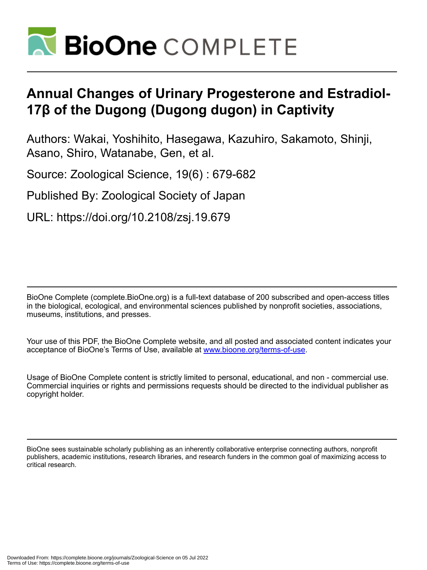

# **Annual Changes of Urinary Progesterone and Estradiol-17β of the Dugong (Dugong dugon) in Captivity**

Authors: Wakai, Yoshihito, Hasegawa, Kazuhiro, Sakamoto, Shinji, Asano, Shiro, Watanabe, Gen, et al.

Source: Zoological Science, 19(6) : 679-682

Published By: Zoological Society of Japan

URL: https://doi.org/10.2108/zsj.19.679

BioOne Complete (complete.BioOne.org) is a full-text database of 200 subscribed and open-access titles in the biological, ecological, and environmental sciences published by nonprofit societies, associations, museums, institutions, and presses.

Your use of this PDF, the BioOne Complete website, and all posted and associated content indicates your acceptance of BioOne's Terms of Use, available at www.bioone.org/terms-of-use.

Usage of BioOne Complete content is strictly limited to personal, educational, and non - commercial use. Commercial inquiries or rights and permissions requests should be directed to the individual publisher as copyright holder.

BioOne sees sustainable scholarly publishing as an inherently collaborative enterprise connecting authors, nonprofit publishers, academic institutions, research libraries, and research funders in the common goal of maximizing access to critical research.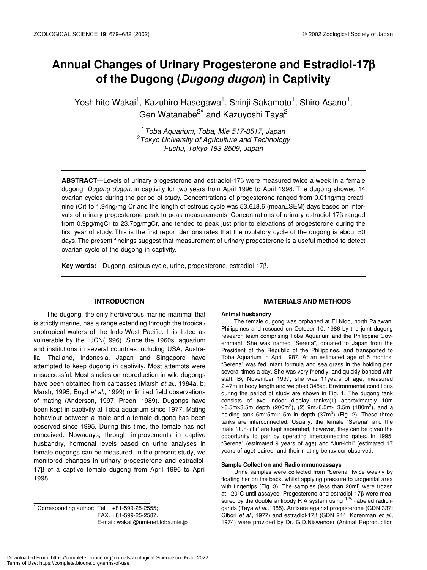# **Annual Changes of Urinary Progesterone and Estradiol-17**β **of the Dugong (***Dugong dugon***) in Captivity**

Yoshihito Wakai<sup>1</sup>, Kazuhiro Hasegawa<sup>1</sup>, Shinji Sakamoto<sup>1</sup>, Shiro Asano<sup>1</sup>, Gen Watanabe<sup>2\*</sup> and Kazuyoshi Taya<sup>2</sup>

> 1 *Toba Aquarium, Toba, Mie 517-8517, Japan* 2 *Tokyo University of Agriculture and Technology Fuchu, Tokyo 183-8509, Japan*

**ABSTRACT**—Levels of urinary progesterone and estradiol-17β were measured twice a week in a female dugong, *Dugong dugon,* in captivity for two years from April 1996 to April 1998. The dugong showed 14 ovarian cycles during the period of study. Concentrations of progesterone ranged from 0.01ng/mg creatinine (Cr) to 1.94ng/mg Cr and the length of estrous cycle was 53.6±8.6 (mean±SEM) days based on intervals of urinary progesterone peak-to-peak measurements. Concentrations of urinary estradiol-17β ranged from 0.9pg/mgCr to 23.7pg/mgCr, and tended to peak just prior to elevations of progesterone during the first year of study. This is the first report demonstrates that the ovulatory cycle of the dugong is about 50 days. The present findings suggest that measurement of urinary progesterone is a useful method to detect ovarian cycle of the dugong in captivity.

**Key words:** Dugong, estrous cycle, urine, progesterone, estradiol-17β.

# **INTRODUCTION**

The dugong, the only herbivorous marine mammal that is strictly marine, has a range extending through the tropical/ subtropical waters of the Indo-West Pacific. It is listed as vulnerable by the IUCN(1996). Since the 1960s, aquarium and institutions in several countries including USA, Australia, Thailand, Indonesia, Japan and Singapore have attempted to keep dugong in captivity. Most attempts were unsuccessful. Most studies on reproduction in wild dugongs have been obtained from carcasses (Marsh *et al*., 1984a, b; Marsh, 1995; Boyd *et al*., 1999) or limited field observations of mating (Anderson, 1997; Preen, 1989). Dugongs have been kept in captivity at Toba aquarium since 1977. Mating behaviour between a male and a female dugong has been observed since 1995. During this time, the female has not conceived. Nowadays, through improvements in captive husbandry, hormonal levels based on urine analyses in female dugongs can be measured. In the present study, we monitored changes in urinary progesterone and estradiol-17β of a captive female dugong from April 1996 to April 1998.

 $*$  Corresponding author: Tel.  $+81-599-25-2555$ ; FAX. +81-599-25-2587. E-mail: wakai.@umi-net.toba.mie.jp

#### **MATERIALS AND METHODS**

#### **Animal husbandry**

The female dugong was orphaned at El Nido, north Palawan, Philippines and rescued on October 10, 1986 by the joint dugong research team comprising Toba Aquarium and the Philippine Government. She was named "Serena", donated to Japan from the President of the Republic of the Philippines, and transported to Toba Aquarium in April 1987. At an estimated age of 5 months, "Serena" was fed infant formula and sea grass in the holding pen several times a day. She was very friendly, and quickly bonded with staff. By November 1997, she was 11years of age, measured 2.47m in body length and weighed 345kg. Environmental conditions during the period of study are shown in Fig. 1. The dugong tank consists of two indoor display tanks:(1) approximately 10m  $\times$ 6.5m $\times$ 3.5m depth (200m<sup>3</sup>), (2) 9m $\times$ 6.5m $\times$  3.5m (180m<sup>3</sup>), and a holding tank  $5m \times 5m \times 1.5m$  in depth  $(37m^3)$  (Fig. 2). These three tanks are interconnected. Usually, the female "Serena" and the male "Jun-ichi" are kept separated, however, they can be given the opportunity to pair by operating interconnecting gates. In 1995, "Serena" (estimated 9 years of age) and "Jun-ichi" (estimated 17 years of age) paired, and their mating behaviour observed.

#### **Sample Collection and Radioimmunoassays**

Urine samples were collected from "Serena" twice weekly by floating her on the back, whilst applying pressure to urogenital area with fingertips (Fig. 3). The samples (less than 20ml) were frozen at –20°C until assayed. Progesterone and estradiol-17β were measured by the double antibody RIA system using <sup>125</sup>I-labeled radioligands (Taya *et al*.,1985). Antisera against progesterone (GDN 337; Gibori *et al*., 1977) and estradiol-17β (GDN 244; Korenman *et al*., 1974) were provided by Dr. G.D.Niswender (Animal Reproduction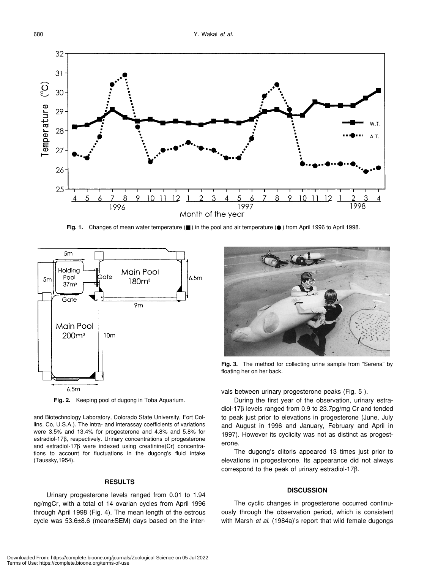

Fig. 1. Changes of mean water temperature ( ) in the pool and air temperature ( ) from April 1996 to April 1998.



**Fig. 2.** Keeping pool of dugong in Toba Aquarium.

and Biotechnology Laboratory, Colorado State University, Fort Collins, Co, U.S.A.). The intra- and interassay coefficients of variations were 3.5% and 13.4% for progesterone and 4.8% and 5.8% for estradiol-17β, respectively. Urinary concentrations of progesterone and estradiol-17β were indexed using creatinine(Cr) concentrations to account for fluctuations in the dugong's fluid intake (Taussky,1954).

# **RESULTS**

Urinary progesterone levels ranged from 0.01 to 1.94 ng/mgCr, with a total of 14 ovarian cycles from April 1996 through April 1998 (Fig. 4). The mean length of the estrous cycle was 53.6±8.6 (mean±SEM) days based on the inter-



**Fig. 3.** The method for collecting urine sample from "Serena" by floating her on her back.

vals between urinary progesterone peaks (Fig. 5 ).

During the first year of the observation, urinary estradiol-17β levels ranged from 0.9 to 23.7pg/mg Cr and tended to peak just prior to elevations in progesterone (June, July and August in 1996 and January, February and April in 1997). However its cyclicity was not as distinct as progesterone.

The dugong's clitoris appeared 13 times just prior to elevations in progesterone. Its appearance did not always correspond to the peak of urinary estradiol-17β.

### **DISCUSSION**

The cyclic changes in progesterone occurred continuously through the observation period, which is consistent with Marsh *et al*. (1984a)'s report that wild female dugongs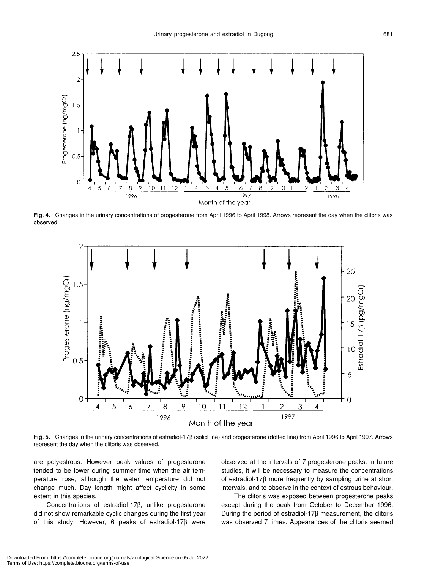

**Fig. 4.** Changes in the urinary concentrations of progesterone from April 1996 to April 1998. Arrows represent the day when the clitoris was observed.



**Fig. 5.** Changes in the urinary concentrations of estradiol-17β (solid line) and progesterone (dotted line) from April 1996 to April 1997. Arrows represent the day when the clitoris was observed.

are polyestrous. However peak values of progesterone tended to be lower during summer time when the air temperature rose, although the water temperature did not change much. Day length might affect cyclicity in some extent in this species.

Concentrations of estradiol-17β, unlike progesterone did not show remarkable cyclic changes during the first year of this study. However, 6 peaks of estradiol-17β were observed at the intervals of 7 progesterone peaks. In future studies, it will be necessary to measure the concentrations of estradiol-17β more frequently by sampling urine at short intervals, and to observe in the context of estrous behaviour.

The clitoris was exposed between progesterone peaks except during the peak from October to December 1996. During the period of estradiol-17β measurement, the clitoris was observed 7 times. Appearances of the clitoris seemed